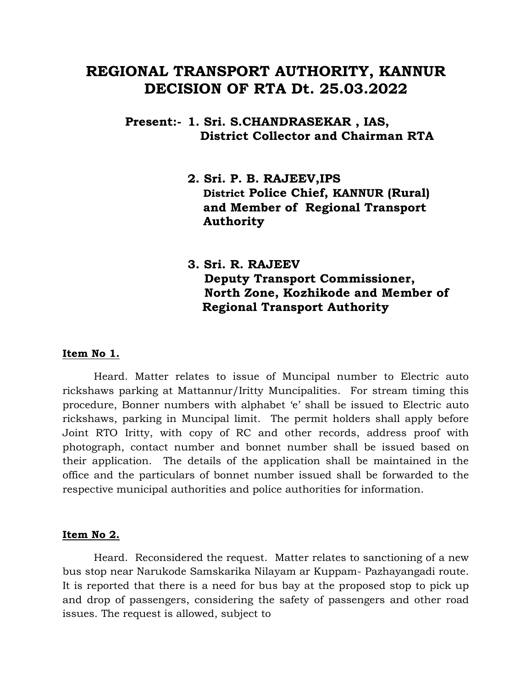## **REGIONAL TRANSPORT AUTHORITY, KANNUR DECISION OF RTA Dt. 25.03.2022**

## **Present:- 1. Sri. S.CHANDRASEKAR , IAS, District Collector and Chairman RTA**

**2. Sri. P. B. RAJEEV,IPS District Police Chief, KANNUR (Rural) and Member of Regional Transport Authority** 

**3. Sri. R. RAJEEV Deputy Transport Commissioner, North Zone, Kozhikode and Member of Regional Transport Authority** 

#### **Item No 1.**

Heard. Matter relates to issue of Muncipal number to Electric auto rickshaws parking at Mattannur/Iritty Muncipalities. For stream timing this procedure, Bonner numbers with alphabet 'e' shall be issued to Electric auto rickshaws, parking in Muncipal limit. The permit holders shall apply before Joint RTO Iritty, with copy of RC and other records, address proof with photograph, contact number and bonnet number shall be issued based on their application. The details of the application shall be maintained in the office and the particulars of bonnet number issued shall be forwarded to the respective municipal authorities and police authorities for information.

#### **Item No 2.**

Heard. Reconsidered the request. Matter relates to sanctioning of a new bus stop near Narukode Samskarika Nilayam ar Kuppam- Pazhayangadi route. It is reported that there is a need for bus bay at the proposed stop to pick up and drop of passengers, considering the safety of passengers and other road issues. The request is allowed, subject to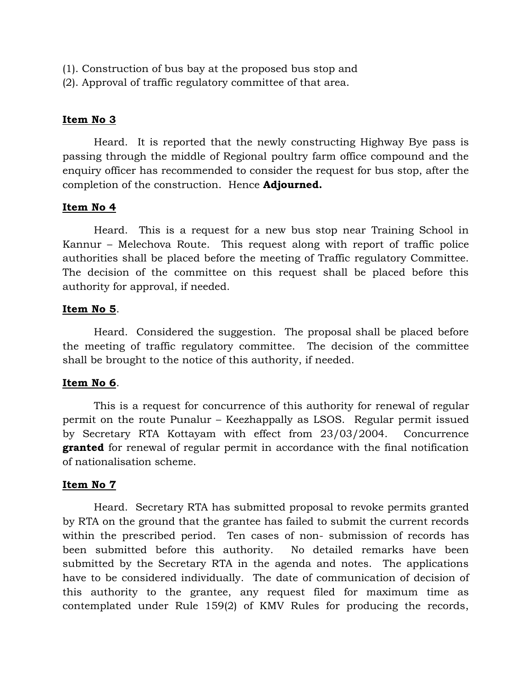- (1). Construction of bus bay at the proposed bus stop and
- (2). Approval of traffic regulatory committee of that area.

Heard. It is reported that the newly constructing Highway Bye pass is passing through the middle of Regional poultry farm office compound and the enquiry officer has recommended to consider the request for bus stop, after the completion of the construction. Hence **Adjourned.**

#### **Item No 4**

Heard. This is a request for a new bus stop near Training School in Kannur – Melechova Route. This request along with report of traffic police authorities shall be placed before the meeting of Traffic regulatory Committee. The decision of the committee on this request shall be placed before this authority for approval, if needed.

#### **Item No 5**.

Heard. Considered the suggestion. The proposal shall be placed before the meeting of traffic regulatory committee. The decision of the committee shall be brought to the notice of this authority, if needed.

#### **Item No 6**.

This is a request for concurrence of this authority for renewal of regular permit on the route Punalur – Keezhappally as LSOS. Regular permit issued by Secretary RTA Kottayam with effect from 23/03/2004. Concurrence **granted** for renewal of regular permit in accordance with the final notification of nationalisation scheme.

#### **Item No 7**

Heard. Secretary RTA has submitted proposal to revoke permits granted by RTA on the ground that the grantee has failed to submit the current records within the prescribed period. Ten cases of non- submission of records has been submitted before this authority. No detailed remarks have been submitted by the Secretary RTA in the agenda and notes. The applications have to be considered individually. The date of communication of decision of this authority to the grantee, any request filed for maximum time as contemplated under Rule 159(2) of KMV Rules for producing the records,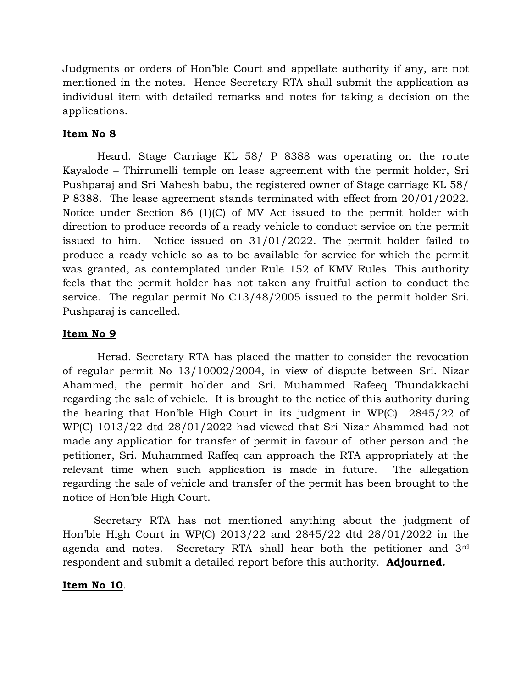Judgments or orders of Hon'ble Court and appellate authority if any, are not mentioned in the notes. Hence Secretary RTA shall submit the application as individual item with detailed remarks and notes for taking a decision on the applications.

## **Item No 8**

Heard. Stage Carriage KL 58/ P 8388 was operating on the route Kayalode – Thirrunelli temple on lease agreement with the permit holder, Sri Pushparaj and Sri Mahesh babu, the registered owner of Stage carriage KL 58/ P 8388. The lease agreement stands terminated with effect from 20/01/2022. Notice under Section 86 (1)(C) of MV Act issued to the permit holder with direction to produce records of a ready vehicle to conduct service on the permit issued to him. Notice issued on 31/01/2022. The permit holder failed to produce a ready vehicle so as to be available for service for which the permit was granted, as contemplated under Rule 152 of KMV Rules. This authority feels that the permit holder has not taken any fruitful action to conduct the service. The regular permit No C13/48/2005 issued to the permit holder Sri. Pushparaj is cancelled.

## **Item No 9**

Herad. Secretary RTA has placed the matter to consider the revocation of regular permit No 13/10002/2004, in view of dispute between Sri. Nizar Ahammed, the permit holder and Sri. Muhammed Rafeeq Thundakkachi regarding the sale of vehicle. It is brought to the notice of this authority during the hearing that Hon'ble High Court in its judgment in WP(C) 2845/22 of WP(C) 1013/22 dtd 28/01/2022 had viewed that Sri Nizar Ahammed had not made any application for transfer of permit in favour of other person and the petitioner, Sri. Muhammed Raffeq can approach the RTA appropriately at the relevant time when such application is made in future. The allegation regarding the sale of vehicle and transfer of the permit has been brought to the notice of Hon'ble High Court.

Secretary RTA has not mentioned anything about the judgment of Hon'ble High Court in WP(C) 2013/22 and 2845/22 dtd 28/01/2022 in the agenda and notes. Secretary RTA shall hear both the petitioner and 3rd respondent and submit a detailed report before this authority. **Adjourned.**

## **Item No 10**.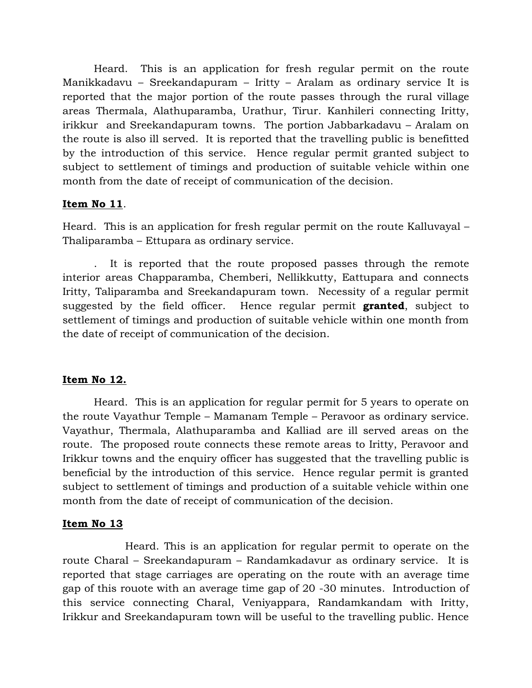Heard. This is an application for fresh regular permit on the route Manikkadavu – Sreekandapuram – Iritty – Aralam as ordinary service It is reported that the major portion of the route passes through the rural village areas Thermala, Alathuparamba, Urathur, Tirur. Kanhileri connecting Iritty, irikkur and Sreekandapuram towns. The portion Jabbarkadavu – Aralam on the route is also ill served. It is reported that the travelling public is benefitted by the introduction of this service. Hence regular permit granted subject to subject to settlement of timings and production of suitable vehicle within one month from the date of receipt of communication of the decision.

## **Item No 11**.

Heard. This is an application for fresh regular permit on the route Kalluvayal – Thaliparamba – Ettupara as ordinary service.

. It is reported that the route proposed passes through the remote interior areas Chapparamba, Chemberi, Nellikkutty, Eattupara and connects Iritty, Taliparamba and Sreekandapuram town. Necessity of a regular permit suggested by the field officer. Hence regular permit **granted**, subject to settlement of timings and production of suitable vehicle within one month from the date of receipt of communication of the decision.

## **Item No 12.**

Heard. This is an application for regular permit for 5 years to operate on the route Vayathur Temple – Mamanam Temple – Peravoor as ordinary service. Vayathur, Thermala, Alathuparamba and Kalliad are ill served areas on the route. The proposed route connects these remote areas to Iritty, Peravoor and Irikkur towns and the enquiry officer has suggested that the travelling public is beneficial by the introduction of this service. Hence regular permit is granted subject to settlement of timings and production of a suitable vehicle within one month from the date of receipt of communication of the decision.

## **Item No 13**

Heard. This is an application for regular permit to operate on the route Charal – Sreekandapuram – Randamkadavur as ordinary service. It is reported that stage carriages are operating on the route with an average time gap of this rouote with an average time gap of 20 -30 minutes. Introduction of this service connecting Charal, Veniyappara, Randamkandam with Iritty, Irikkur and Sreekandapuram town will be useful to the travelling public. Hence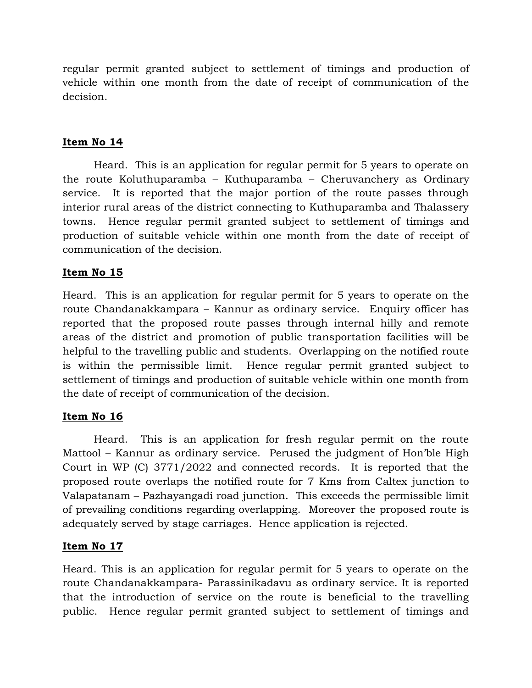regular permit granted subject to settlement of timings and production of vehicle within one month from the date of receipt of communication of the decision.

## **Item No 14**

Heard. This is an application for regular permit for 5 years to operate on the route Koluthuparamba – Kuthuparamba – Cheruvanchery as Ordinary service. It is reported that the major portion of the route passes through interior rural areas of the district connecting to Kuthuparamba and Thalassery towns. Hence regular permit granted subject to settlement of timings and production of suitable vehicle within one month from the date of receipt of communication of the decision.

## **Item No 15**

Heard. This is an application for regular permit for 5 years to operate on the route Chandanakkampara – Kannur as ordinary service. Enquiry officer has reported that the proposed route passes through internal hilly and remote areas of the district and promotion of public transportation facilities will be helpful to the travelling public and students. Overlapping on the notified route is within the permissible limit. Hence regular permit granted subject to settlement of timings and production of suitable vehicle within one month from the date of receipt of communication of the decision.

## **Item No 16**

Heard. This is an application for fresh regular permit on the route Mattool – Kannur as ordinary service. Perused the judgment of Hon'ble High Court in WP (C) 3771/2022 and connected records. It is reported that the proposed route overlaps the notified route for 7 Kms from Caltex junction to Valapatanam – Pazhayangadi road junction. This exceeds the permissible limit of prevailing conditions regarding overlapping. Moreover the proposed route is adequately served by stage carriages. Hence application is rejected.

## **Item No 17**

Heard. This is an application for regular permit for 5 years to operate on the route Chandanakkampara- Parassinikadavu as ordinary service. It is reported that the introduction of service on the route is beneficial to the travelling public. Hence regular permit granted subject to settlement of timings and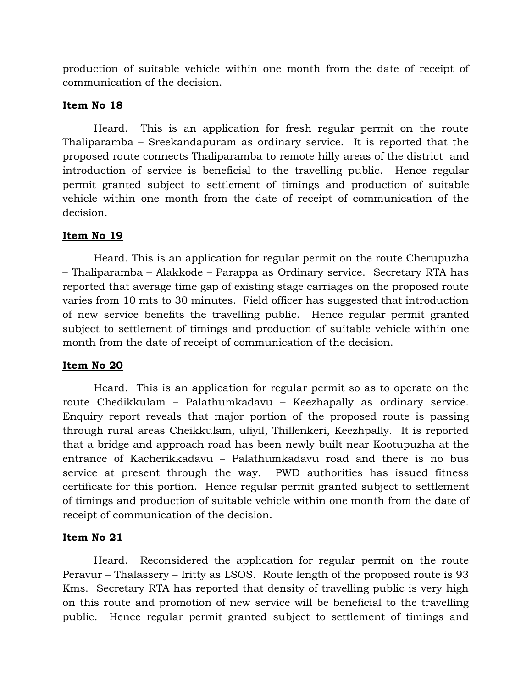production of suitable vehicle within one month from the date of receipt of communication of the decision.

## **Item No 18**

Heard. This is an application for fresh regular permit on the route Thaliparamba – Sreekandapuram as ordinary service. It is reported that the proposed route connects Thaliparamba to remote hilly areas of the district and introduction of service is beneficial to the travelling public. Hence regular permit granted subject to settlement of timings and production of suitable vehicle within one month from the date of receipt of communication of the decision.

## **Item No 19**

Heard. This is an application for regular permit on the route Cherupuzha – Thaliparamba – Alakkode – Parappa as Ordinary service. Secretary RTA has reported that average time gap of existing stage carriages on the proposed route varies from 10 mts to 30 minutes. Field officer has suggested that introduction of new service benefits the travelling public. Hence regular permit granted subject to settlement of timings and production of suitable vehicle within one month from the date of receipt of communication of the decision.

## **Item No 20**

Heard. This is an application for regular permit so as to operate on the route Chedikkulam – Palathumkadavu – Keezhapally as ordinary service. Enquiry report reveals that major portion of the proposed route is passing through rural areas Cheikkulam, uliyil, Thillenkeri, Keezhpally. It is reported that a bridge and approach road has been newly built near Kootupuzha at the entrance of Kacherikkadavu – Palathumkadavu road and there is no bus service at present through the way. PWD authorities has issued fitness certificate for this portion. Hence regular permit granted subject to settlement of timings and production of suitable vehicle within one month from the date of receipt of communication of the decision.

## **Item No 21**

Heard. Reconsidered the application for regular permit on the route Peravur – Thalassery – Iritty as LSOS. Route length of the proposed route is 93 Kms. Secretary RTA has reported that density of travelling public is very high on this route and promotion of new service will be beneficial to the travelling public. Hence regular permit granted subject to settlement of timings and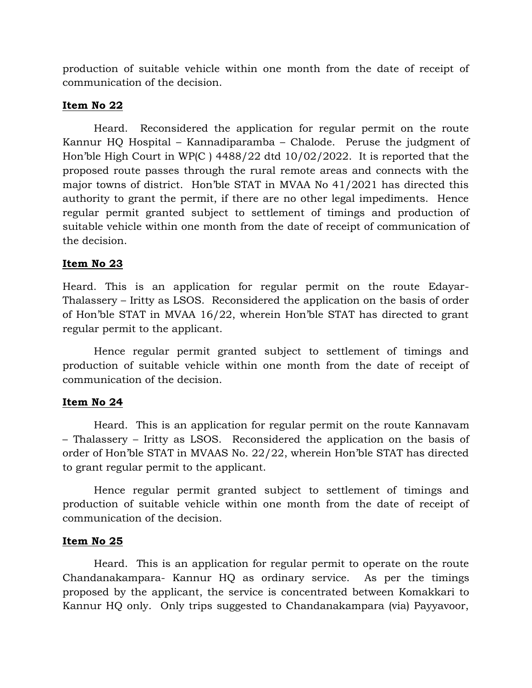production of suitable vehicle within one month from the date of receipt of communication of the decision.

## **Item No 22**

Heard. Reconsidered the application for regular permit on the route Kannur HQ Hospital – Kannadiparamba – Chalode. Peruse the judgment of Hon'ble High Court in WP(C ) 4488/22 dtd 10/02/2022. It is reported that the proposed route passes through the rural remote areas and connects with the major towns of district. Hon'ble STAT in MVAA No 41/2021 has directed this authority to grant the permit, if there are no other legal impediments. Hence regular permit granted subject to settlement of timings and production of suitable vehicle within one month from the date of receipt of communication of the decision.

## **Item No 23**

Heard. This is an application for regular permit on the route Edayar-Thalassery – Iritty as LSOS. Reconsidered the application on the basis of order of Hon'ble STAT in MVAA 16/22, wherein Hon'ble STAT has directed to grant regular permit to the applicant.

Hence regular permit granted subject to settlement of timings and production of suitable vehicle within one month from the date of receipt of communication of the decision.

#### **Item No 24**

Heard. This is an application for regular permit on the route Kannavam – Thalassery – Iritty as LSOS. Reconsidered the application on the basis of order of Hon'ble STAT in MVAAS No. 22/22, wherein Hon'ble STAT has directed to grant regular permit to the applicant.

Hence regular permit granted subject to settlement of timings and production of suitable vehicle within one month from the date of receipt of communication of the decision.

#### **Item No 25**

Heard. This is an application for regular permit to operate on the route Chandanakampara- Kannur HQ as ordinary service. As per the timings proposed by the applicant, the service is concentrated between Komakkari to Kannur HQ only. Only trips suggested to Chandanakampara (via) Payyavoor,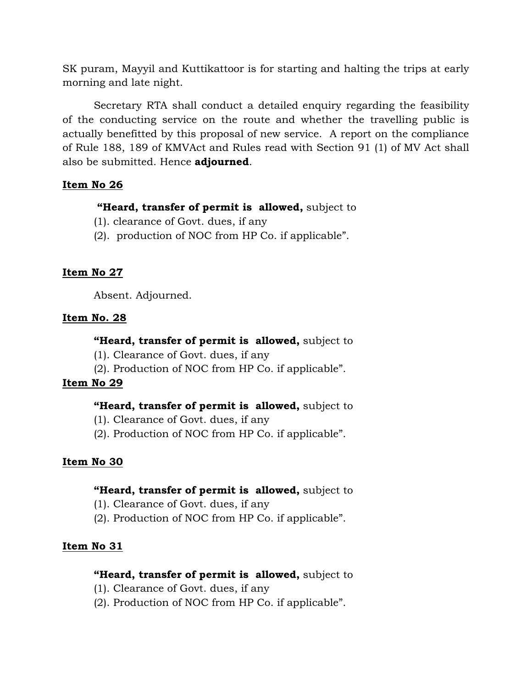SK puram, Mayyil and Kuttikattoor is for starting and halting the trips at early morning and late night.

Secretary RTA shall conduct a detailed enquiry regarding the feasibility of the conducting service on the route and whether the travelling public is actually benefitted by this proposal of new service. A report on the compliance of Rule 188, 189 of KMVAct and Rules read with Section 91 (1) of MV Act shall also be submitted. Hence **adjourned**.

## **Item No 26**

## **"Heard, transfer of permit is allowed,** subject to

- (1). clearance of Govt. dues, if any
- (2). production of NOC from HP Co. if applicable".

## **Item No 27**

Absent. Adjourned.

#### **Item No. 28**

## **"Heard, transfer of permit is allowed,** subject to

- (1). Clearance of Govt. dues, if any
- (2). Production of NOC from HP Co. if applicable".

#### **Item No 29**

## **"Heard, transfer of permit is allowed,** subject to

- (1). Clearance of Govt. dues, if any
- (2). Production of NOC from HP Co. if applicable".

## **Item No 30**

#### **"Heard, transfer of permit is allowed,** subject to

- (1). Clearance of Govt. dues, if any
- (2). Production of NOC from HP Co. if applicable".

## **Item No 31**

- (1). Clearance of Govt. dues, if any
- (2). Production of NOC from HP Co. if applicable".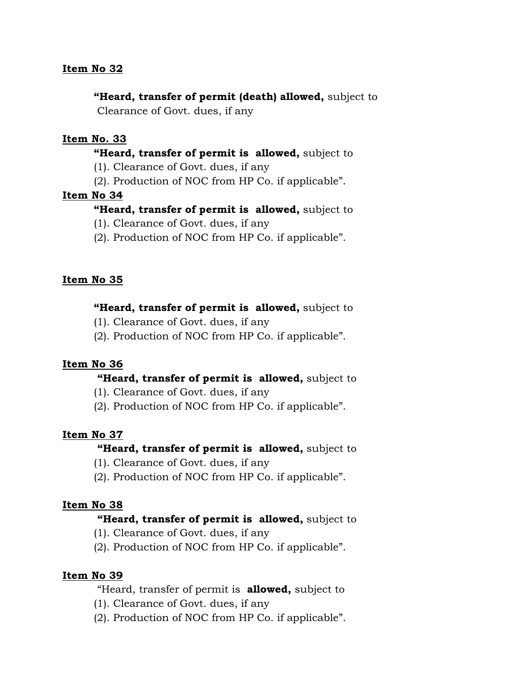**"Heard, transfer of permit (death) allowed,** subject to Clearance of Govt. dues, if any

#### **Item No. 33**

#### **"Heard, transfer of permit is allowed,** subject to

(1). Clearance of Govt. dues, if any

(2). Production of NOC from HP Co. if applicable".

#### **Item No 34**

#### **"Heard, transfer of permit is allowed,** subject to

- (1). Clearance of Govt. dues, if any
- (2). Production of NOC from HP Co. if applicable".

#### **Item No 35**

#### **"Heard, transfer of permit is allowed,** subject to

- (1). Clearance of Govt. dues, if any
- (2). Production of NOC from HP Co. if applicable".

#### **Item No 36**

#### **"Heard, transfer of permit is allowed,** subject to

- (1). Clearance of Govt. dues, if any
- (2). Production of NOC from HP Co. if applicable".

#### **Item No 37**

#### **"Heard, transfer of permit is allowed,** subject to

- (1). Clearance of Govt. dues, if any
- (2). Production of NOC from HP Co. if applicable".

#### **Item No 38**

#### **"Heard, transfer of permit is allowed,** subject to

- (1). Clearance of Govt. dues, if any
- (2). Production of NOC from HP Co. if applicable".

#### **Item No 39**

- (1). Clearance of Govt. dues, if any
- (2). Production of NOC from HP Co. if applicable".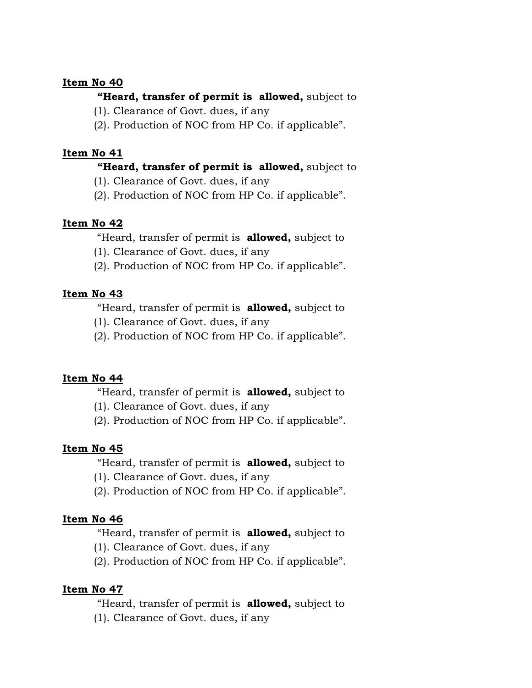## **"Heard, transfer of permit is allowed,** subject to

(1). Clearance of Govt. dues, if any

(2). Production of NOC from HP Co. if applicable".

## **Item No 41**

## **"Heard, transfer of permit is allowed,** subject to

- (1). Clearance of Govt. dues, if any
- (2). Production of NOC from HP Co. if applicable".

## **Item No 42**

"Heard, transfer of permit is **allowed,** subject to

- (1). Clearance of Govt. dues, if any
- (2). Production of NOC from HP Co. if applicable".

## **Item No 43**

"Heard, transfer of permit is **allowed,** subject to

- (1). Clearance of Govt. dues, if any
- (2). Production of NOC from HP Co. if applicable".

#### **Item No 44**

"Heard, transfer of permit is **allowed,** subject to

- (1). Clearance of Govt. dues, if any
- (2). Production of NOC from HP Co. if applicable".

#### **Item No 45**

"Heard, transfer of permit is **allowed,** subject to

- (1). Clearance of Govt. dues, if any
- (2). Production of NOC from HP Co. if applicable".

#### **Item No 46**

"Heard, transfer of permit is **allowed,** subject to

- (1). Clearance of Govt. dues, if any
- (2). Production of NOC from HP Co. if applicable".

## **Item No 47**

"Heard, transfer of permit is **allowed,** subject to (1). Clearance of Govt. dues, if any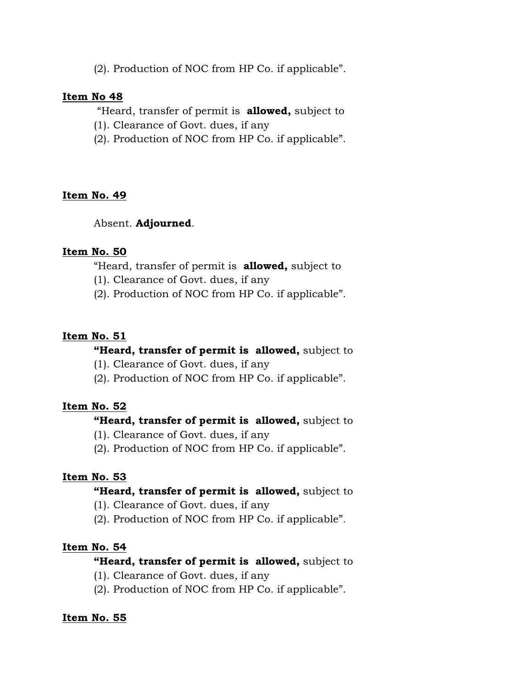(2). Production of NOC from HP Co. if applicable".

#### **Item No 48**

"Heard, transfer of permit is **allowed,** subject to

- (1). Clearance of Govt. dues, if any
- (2). Production of NOC from HP Co. if applicable".

#### **Item No. 49**

#### Absent. **Adjourned**.

#### **Item No. 50**

"Heard, transfer of permit is **allowed,** subject to

- (1). Clearance of Govt. dues, if any
- (2). Production of NOC from HP Co. if applicable".

#### **Item No. 51**

#### **"Heard, transfer of permit is allowed,** subject to

- (1). Clearance of Govt. dues, if any
- (2). Production of NOC from HP Co. if applicable".

#### **Item No. 52**

#### **"Heard, transfer of permit is allowed,** subject to

- (1). Clearance of Govt. dues, if any
- (2). Production of NOC from HP Co. if applicable".

#### **Item No. 53**

#### **"Heard, transfer of permit is allowed,** subject to

- (1). Clearance of Govt. dues, if any
- (2). Production of NOC from HP Co. if applicable".

#### **Item No. 54**

## **"Heard, transfer of permit is allowed,** subject to

- (1). Clearance of Govt. dues, if any
- (2). Production of NOC from HP Co. if applicable".

#### **Item No. 55**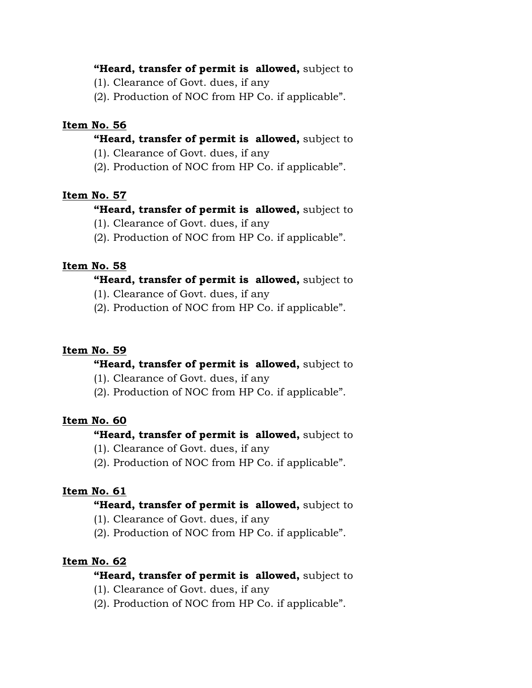## **"Heard, transfer of permit is allowed,** subject to

(1). Clearance of Govt. dues, if any

(2). Production of NOC from HP Co. if applicable".

## **Item No. 56**

- **"Heard, transfer of permit is allowed,** subject to
- (1). Clearance of Govt. dues, if any
- (2). Production of NOC from HP Co. if applicable".

## **Item No. 57**

## **"Heard, transfer of permit is allowed,** subject to

- (1). Clearance of Govt. dues, if any
- (2). Production of NOC from HP Co. if applicable".

## **Item No. 58**

## **"Heard, transfer of permit is allowed,** subject to

- (1). Clearance of Govt. dues, if any
- (2). Production of NOC from HP Co. if applicable".

## **Item No. 59**

## **"Heard, transfer of permit is allowed,** subject to

- (1). Clearance of Govt. dues, if any
- (2). Production of NOC from HP Co. if applicable".

## **Item No. 60**

## **"Heard, transfer of permit is allowed,** subject to

- (1). Clearance of Govt. dues, if any
- (2). Production of NOC from HP Co. if applicable".

## **Item No. 61**

## **"Heard, transfer of permit is allowed,** subject to

- (1). Clearance of Govt. dues, if any
- (2). Production of NOC from HP Co. if applicable".

## **Item No. 62**

- (1). Clearance of Govt. dues, if any
- (2). Production of NOC from HP Co. if applicable".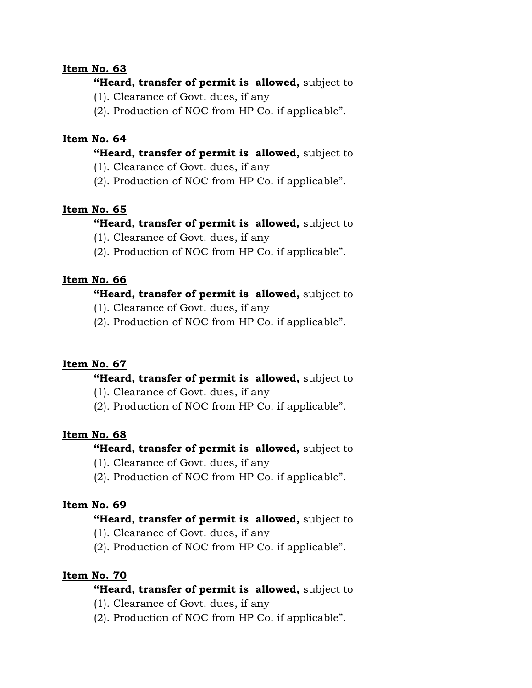## **"Heard, transfer of permit is allowed,** subject to

- (1). Clearance of Govt. dues, if any
- (2). Production of NOC from HP Co. if applicable".

## **Item No. 64**

#### **"Heard, transfer of permit is allowed,** subject to

(1). Clearance of Govt. dues, if any

(2). Production of NOC from HP Co. if applicable".

## **Item No. 65**

## **"Heard, transfer of permit is allowed,** subject to

- (1). Clearance of Govt. dues, if any
- (2). Production of NOC from HP Co. if applicable".

## **Item No. 66**

## **"Heard, transfer of permit is allowed,** subject to

- (1). Clearance of Govt. dues, if any
- (2). Production of NOC from HP Co. if applicable".

#### **Item No. 67**

#### **"Heard, transfer of permit is allowed,** subject to

- (1). Clearance of Govt. dues, if any
- (2). Production of NOC from HP Co. if applicable".

#### **Item No. 68**

## **"Heard, transfer of permit is allowed,** subject to

- (1). Clearance of Govt. dues, if any
- (2). Production of NOC from HP Co. if applicable".

#### **Item No. 69**

#### **"Heard, transfer of permit is allowed,** subject to

- (1). Clearance of Govt. dues, if any
- (2). Production of NOC from HP Co. if applicable".

#### **Item No. 70**

- (1). Clearance of Govt. dues, if any
- (2). Production of NOC from HP Co. if applicable".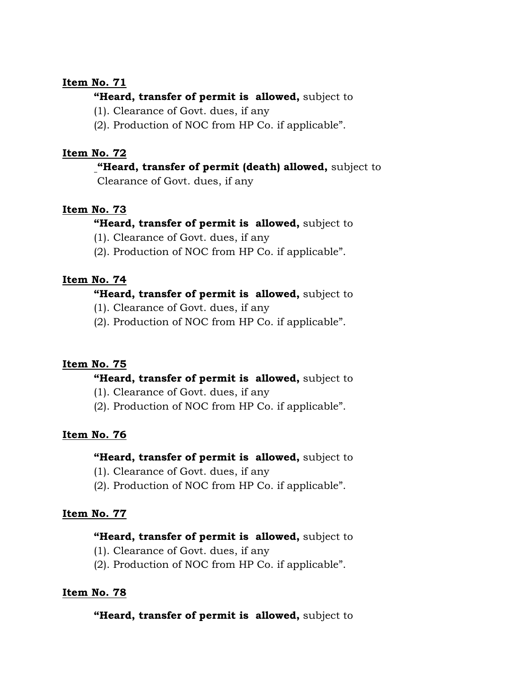## **"Heard, transfer of permit is allowed,** subject to

(1). Clearance of Govt. dues, if any

(2). Production of NOC from HP Co. if applicable".

#### **Item No. 72**

**"Heard, transfer of permit (death) allowed,** subject to Clearance of Govt. dues, if any

## **Item No. 73**

## **"Heard, transfer of permit is allowed,** subject to

- (1). Clearance of Govt. dues, if any
- (2). Production of NOC from HP Co. if applicable".

## **Item No. 74**

## **"Heard, transfer of permit is allowed,** subject to

- (1). Clearance of Govt. dues, if any
- (2). Production of NOC from HP Co. if applicable".

#### **Item No. 75**

#### **"Heard, transfer of permit is allowed,** subject to

- (1). Clearance of Govt. dues, if any
- (2). Production of NOC from HP Co. if applicable".

#### **Item No. 76**

#### **"Heard, transfer of permit is allowed,** subject to

- (1). Clearance of Govt. dues, if any
- (2). Production of NOC from HP Co. if applicable".

#### **Item No. 77**

#### **"Heard, transfer of permit is allowed,** subject to

- (1). Clearance of Govt. dues, if any
- (2). Production of NOC from HP Co. if applicable".

#### **Item No. 78**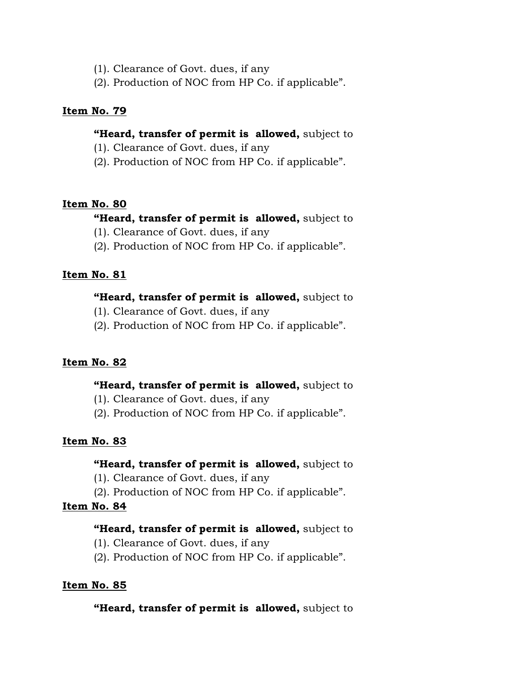- (1). Clearance of Govt. dues, if any
- (2). Production of NOC from HP Co. if applicable".

#### **"Heard, transfer of permit is allowed,** subject to

- (1). Clearance of Govt. dues, if any
- (2). Production of NOC from HP Co. if applicable".

#### **Item No. 80**

#### **"Heard, transfer of permit is allowed,** subject to

- (1). Clearance of Govt. dues, if any
- (2). Production of NOC from HP Co. if applicable".

#### **Item No. 81**

#### **"Heard, transfer of permit is allowed,** subject to

- (1). Clearance of Govt. dues, if any
- (2). Production of NOC from HP Co. if applicable".

#### **Item No. 82**

#### **"Heard, transfer of permit is allowed,** subject to

- (1). Clearance of Govt. dues, if any
- (2). Production of NOC from HP Co. if applicable".

#### **Item No. 83**

#### **"Heard, transfer of permit is allowed,** subject to

- (1). Clearance of Govt. dues, if any
- (2). Production of NOC from HP Co. if applicable".

#### **Item No. 84**

#### **"Heard, transfer of permit is allowed,** subject to

- (1). Clearance of Govt. dues, if any
- (2). Production of NOC from HP Co. if applicable".

#### **Item No. 85**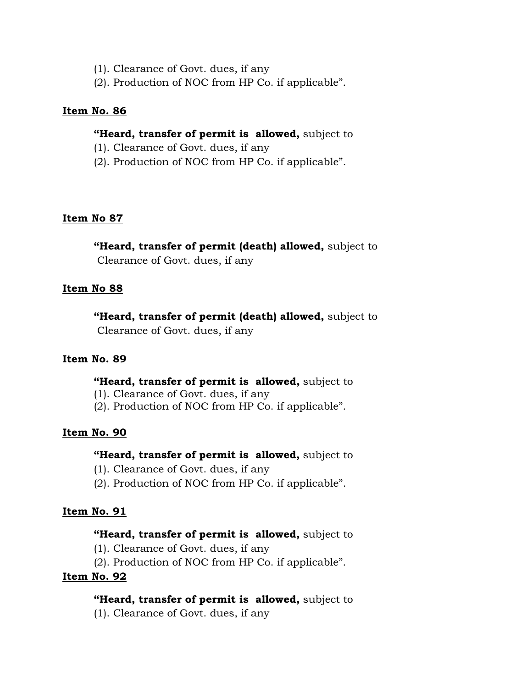- (1). Clearance of Govt. dues, if any
- (2). Production of NOC from HP Co. if applicable".

#### **"Heard, transfer of permit is allowed,** subject to

- (1). Clearance of Govt. dues, if any
- (2). Production of NOC from HP Co. if applicable".

#### **Item No 87**

**"Heard, transfer of permit (death) allowed,** subject to Clearance of Govt. dues, if any

#### **Item No 88**

**"Heard, transfer of permit (death) allowed,** subject to Clearance of Govt. dues, if any

#### **Item No. 89**

#### **"Heard, transfer of permit is allowed,** subject to

- (1). Clearance of Govt. dues, if any
- (2). Production of NOC from HP Co. if applicable".

#### **Item No. 90**

#### **"Heard, transfer of permit is allowed,** subject to

- (1). Clearance of Govt. dues, if any
- (2). Production of NOC from HP Co. if applicable".

#### **Item No. 91**

#### **"Heard, transfer of permit is allowed,** subject to

- (1). Clearance of Govt. dues, if any
- (2). Production of NOC from HP Co. if applicable".

#### **Item No. 92**

#### **"Heard, transfer of permit is allowed,** subject to

(1). Clearance of Govt. dues, if any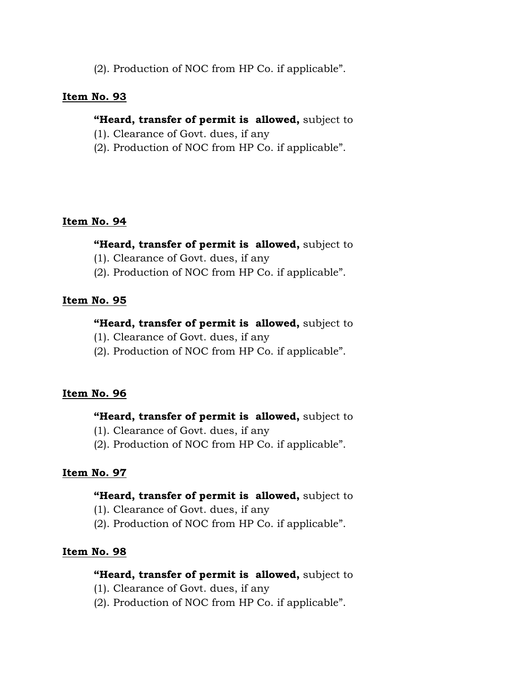(2). Production of NOC from HP Co. if applicable".

#### **Item No. 93**

## **"Heard, transfer of permit is allowed,** subject to

- (1). Clearance of Govt. dues, if any
- (2). Production of NOC from HP Co. if applicable".

#### **Item No. 94**

## **"Heard, transfer of permit is allowed,** subject to

- (1). Clearance of Govt. dues, if any
- (2). Production of NOC from HP Co. if applicable".

## **Item No. 95**

## **"Heard, transfer of permit is allowed,** subject to

- (1). Clearance of Govt. dues, if any
- (2). Production of NOC from HP Co. if applicable".

#### **Item No. 96**

#### **"Heard, transfer of permit is allowed,** subject to

- (1). Clearance of Govt. dues, if any
- (2). Production of NOC from HP Co. if applicable".

#### **Item No. 97**

#### **"Heard, transfer of permit is allowed,** subject to

- (1). Clearance of Govt. dues, if any
- (2). Production of NOC from HP Co. if applicable".

#### **Item No. 98**

- (1). Clearance of Govt. dues, if any
- (2). Production of NOC from HP Co. if applicable".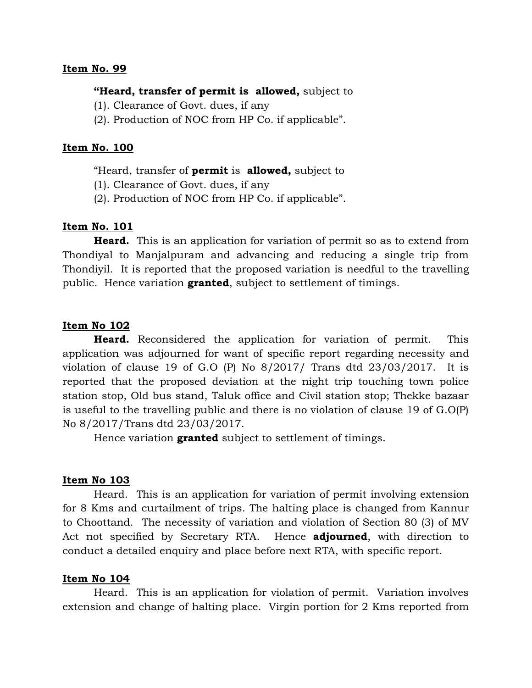#### **"Heard, transfer of permit is allowed,** subject to

- (1). Clearance of Govt. dues, if any
- (2). Production of NOC from HP Co. if applicable".

#### **Item No. 100**

#### "Heard, transfer of **permit** is **allowed,** subject to

(1). Clearance of Govt. dues, if any

(2). Production of NOC from HP Co. if applicable".

#### **Item No. 101**

**Heard.** This is an application for variation of permit so as to extend from Thondiyal to Manjalpuram and advancing and reducing a single trip from Thondiyil. It is reported that the proposed variation is needful to the travelling public. Hence variation **granted**, subject to settlement of timings.

#### **Item No 102**

**Heard.** Reconsidered the application for variation of permit. This application was adjourned for want of specific report regarding necessity and violation of clause 19 of G.O  $(P)$  No  $8/2017/$  Trans dtd  $23/03/2017$ . It is reported that the proposed deviation at the night trip touching town police station stop, Old bus stand, Taluk office and Civil station stop; Thekke bazaar is useful to the travelling public and there is no violation of clause 19 of G.O(P) No 8/2017/Trans dtd 23/03/2017.

Hence variation **granted** subject to settlement of timings.

#### **Item No 103**

Heard. This is an application for variation of permit involving extension for 8 Kms and curtailment of trips. The halting place is changed from Kannur to Choottand. The necessity of variation and violation of Section 80 (3) of MV Act not specified by Secretary RTA. Hence **adjourned**, with direction to conduct a detailed enquiry and place before next RTA, with specific report.

#### **Item No 104**

Heard. This is an application for violation of permit. Variation involves extension and change of halting place. Virgin portion for 2 Kms reported from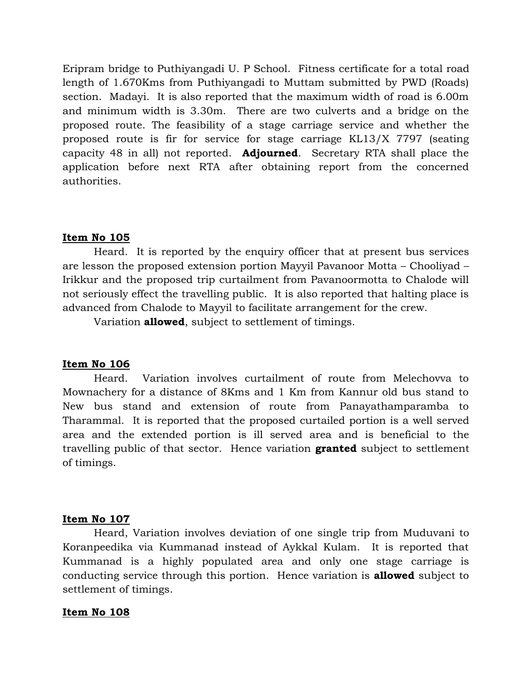Eripram bridge to Puthiyangadi U. P School. Fitness certificate for a total road length of 1.670Kms from Puthiyangadi to Muttam submitted by PWD (Roads) section. Madayi. It is also reported that the maximum width of road is 6.00m and minimum width is 3.30m. There are two culverts and a bridge on the proposed route. The feasibility of a stage carriage service and whether the proposed route is fir for service for stage carriage KL13/X 7797 (seating capacity 48 in all) not reported. **Adjourned**. Secretary RTA shall place the application before next RTA after obtaining report from the concerned authorities.

## **Item No 105**

Heard. It is reported by the enquiry officer that at present bus services are lesson the proposed extension portion Mayyil Pavanoor Motta – Chooliyad – Irikkur and the proposed trip curtailment from Pavanoormotta to Chalode will not seriously effect the travelling public. It is also reported that halting place is advanced from Chalode to Mayyil to facilitate arrangement for the crew.

Variation **allowed**, subject to settlement of timings.

## **Item No 106**

Heard. Variation involves curtailment of route from Melechovva to Mownachery for a distance of 8Kms and 1 Km from Kannur old bus stand to New bus stand and extension of route from Panayathamparamba to Tharammal. It is reported that the proposed curtailed portion is a well served area and the extended portion is ill served area and is beneficial to the travelling public of that sector. Hence variation **granted** subject to settlement of timings.

#### **Item No 107**

Heard, Variation involves deviation of one single trip from Muduvani to Koranpeedika via Kummanad instead of Aykkal Kulam. It is reported that Kummanad is a highly populated area and only one stage carriage is conducting service through this portion. Hence variation is **allowed** subject to settlement of timings.

#### **Item No 108**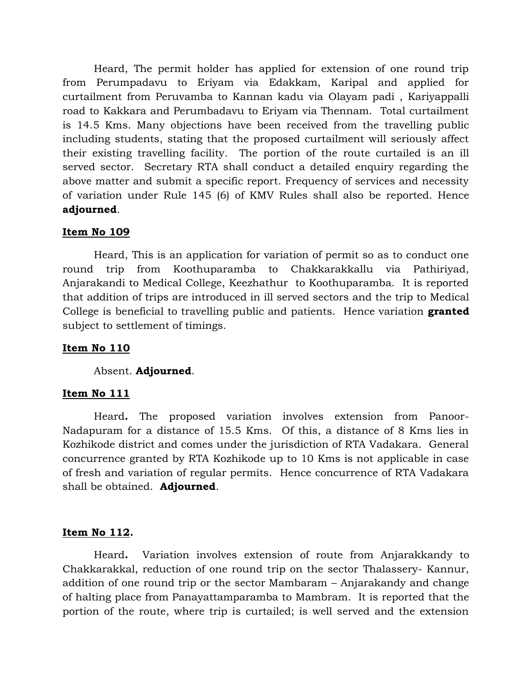Heard, The permit holder has applied for extension of one round trip from Perumpadavu to Eriyam via Edakkam, Karipal and applied for curtailment from Peruvamba to Kannan kadu via Olayam padi , Kariyappalli road to Kakkara and Perumbadavu to Eriyam via Thennam. Total curtailment is 14.5 Kms. Many objections have been received from the travelling public including students, stating that the proposed curtailment will seriously affect their existing travelling facility. The portion of the route curtailed is an ill served sector. Secretary RTA shall conduct a detailed enquiry regarding the above matter and submit a specific report. Frequency of services and necessity of variation under Rule 145 (6) of KMV Rules shall also be reported. Hence **adjourned**.

## **Item No 109**

Heard, This is an application for variation of permit so as to conduct one round trip from Koothuparamba to Chakkarakkallu via Pathiriyad, Anjarakandi to Medical College, Keezhathur to Koothuparamba. It is reported that addition of trips are introduced in ill served sectors and the trip to Medical College is beneficial to travelling public and patients. Hence variation **granted** subject to settlement of timings.

## **Item No 110**

Absent. **Adjourned**.

#### **Item No 111**

Heard**.** The proposed variation involves extension from Panoor-Nadapuram for a distance of 15.5 Kms. Of this, a distance of 8 Kms lies in Kozhikode district and comes under the jurisdiction of RTA Vadakara. General concurrence granted by RTA Kozhikode up to 10 Kms is not applicable in case of fresh and variation of regular permits. Hence concurrence of RTA Vadakara shall be obtained. **Adjourned**.

## **Item No 112.**

Heard**.** Variation involves extension of route from Anjarakkandy to Chakkarakkal, reduction of one round trip on the sector Thalassery- Kannur, addition of one round trip or the sector Mambaram – Anjarakandy and change of halting place from Panayattamparamba to Mambram. It is reported that the portion of the route, where trip is curtailed; is well served and the extension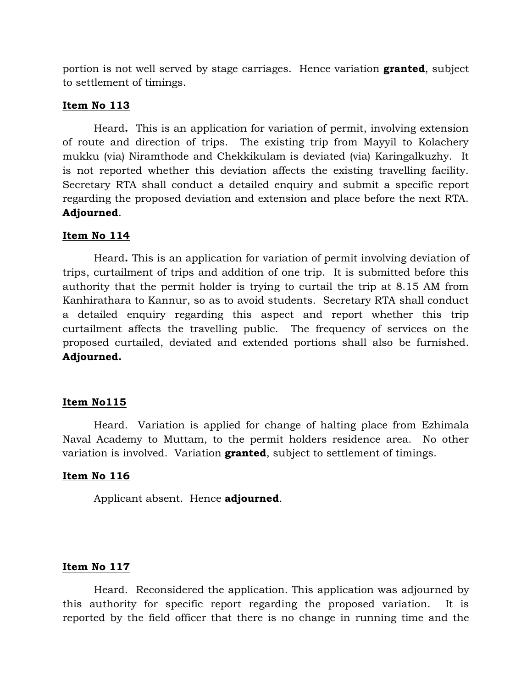portion is not well served by stage carriages. Hence variation **granted**, subject to settlement of timings.

#### **Item No 113**

Heard**.** This is an application for variation of permit, involving extension of route and direction of trips. The existing trip from Mayyil to Kolachery mukku (via) Niramthode and Chekkikulam is deviated (via) Karingalkuzhy. It is not reported whether this deviation affects the existing travelling facility. Secretary RTA shall conduct a detailed enquiry and submit a specific report regarding the proposed deviation and extension and place before the next RTA. **Adjourned**.

## **Item No 114**

Heard**.** This is an application for variation of permit involving deviation of trips, curtailment of trips and addition of one trip. It is submitted before this authority that the permit holder is trying to curtail the trip at 8.15 AM from Kanhirathara to Kannur, so as to avoid students. Secretary RTA shall conduct a detailed enquiry regarding this aspect and report whether this trip curtailment affects the travelling public. The frequency of services on the proposed curtailed, deviated and extended portions shall also be furnished. **Adjourned.**

#### **Item No115**

Heard. Variation is applied for change of halting place from Ezhimala Naval Academy to Muttam, to the permit holders residence area. No other variation is involved. Variation **granted**, subject to settlement of timings.

#### **Item No 116**

Applicant absent. Hence **adjourned**.

#### **Item No 117**

Heard. Reconsidered the application. This application was adjourned by this authority for specific report regarding the proposed variation. It is reported by the field officer that there is no change in running time and the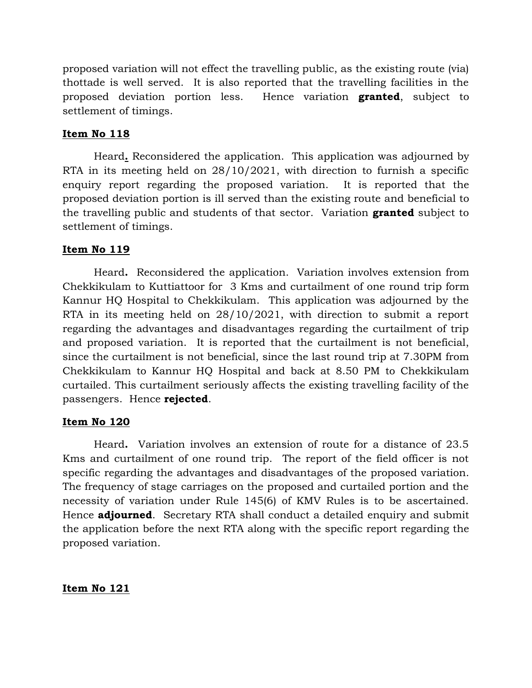proposed variation will not effect the travelling public, as the existing route (via) thottade is well served. It is also reported that the travelling facilities in the proposed deviation portion less. Hence variation **granted**, subject to settlement of timings.

## **Item No 118**

Heard**.** Reconsidered the application. This application was adjourned by RTA in its meeting held on 28/10/2021, with direction to furnish a specific enquiry report regarding the proposed variation. It is reported that the proposed deviation portion is ill served than the existing route and beneficial to the travelling public and students of that sector. Variation **granted** subject to settlement of timings.

## **Item No 119**

Heard**.** Reconsidered the application. Variation involves extension from Chekkikulam to Kuttiattoor for 3 Kms and curtailment of one round trip form Kannur HQ Hospital to Chekkikulam. This application was adjourned by the RTA in its meeting held on 28/10/2021, with direction to submit a report regarding the advantages and disadvantages regarding the curtailment of trip and proposed variation. It is reported that the curtailment is not beneficial, since the curtailment is not beneficial, since the last round trip at 7.30PM from Chekkikulam to Kannur HQ Hospital and back at 8.50 PM to Chekkikulam curtailed. This curtailment seriously affects the existing travelling facility of the passengers. Hence **rejected**.

## **Item No 120**

Heard**.** Variation involves an extension of route for a distance of 23.5 Kms and curtailment of one round trip. The report of the field officer is not specific regarding the advantages and disadvantages of the proposed variation. The frequency of stage carriages on the proposed and curtailed portion and the necessity of variation under Rule 145(6) of KMV Rules is to be ascertained. Hence **adjourned**. Secretary RTA shall conduct a detailed enquiry and submit the application before the next RTA along with the specific report regarding the proposed variation.

**Item No 121**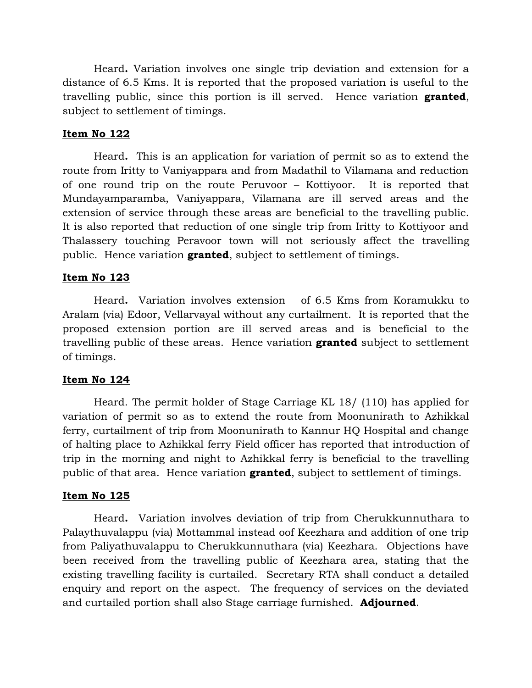Heard**.** Variation involves one single trip deviation and extension for a distance of 6.5 Kms. It is reported that the proposed variation is useful to the travelling public, since this portion is ill served. Hence variation **granted**, subject to settlement of timings.

#### **Item No 122**

Heard**.** This is an application for variation of permit so as to extend the route from Iritty to Vaniyappara and from Madathil to Vilamana and reduction of one round trip on the route Peruvoor – Kottiyoor. It is reported that Mundayamparamba, Vaniyappara, Vilamana are ill served areas and the extension of service through these areas are beneficial to the travelling public. It is also reported that reduction of one single trip from Iritty to Kottiyoor and Thalassery touching Peravoor town will not seriously affect the travelling public. Hence variation **granted**, subject to settlement of timings.

#### **Item No 123**

Heard**.** Variation involves extension of 6.5 Kms from Koramukku to Aralam (via) Edoor, Vellarvayal without any curtailment. It is reported that the proposed extension portion are ill served areas and is beneficial to the travelling public of these areas. Hence variation **granted** subject to settlement of timings.

#### **Item No 124**

Heard. The permit holder of Stage Carriage KL 18/ (110) has applied for variation of permit so as to extend the route from Moonunirath to Azhikkal ferry, curtailment of trip from Moonunirath to Kannur HQ Hospital and change of halting place to Azhikkal ferry Field officer has reported that introduction of trip in the morning and night to Azhikkal ferry is beneficial to the travelling public of that area. Hence variation **granted**, subject to settlement of timings.

#### **Item No 125**

Heard**.** Variation involves deviation of trip from Cherukkunnuthara to Palaythuvalappu (via) Mottammal instead oof Keezhara and addition of one trip from Paliyathuvalappu to Cherukkunnuthara (via) Keezhara. Objections have been received from the travelling public of Keezhara area, stating that the existing travelling facility is curtailed. Secretary RTA shall conduct a detailed enquiry and report on the aspect. The frequency of services on the deviated and curtailed portion shall also Stage carriage furnished. **Adjourned**.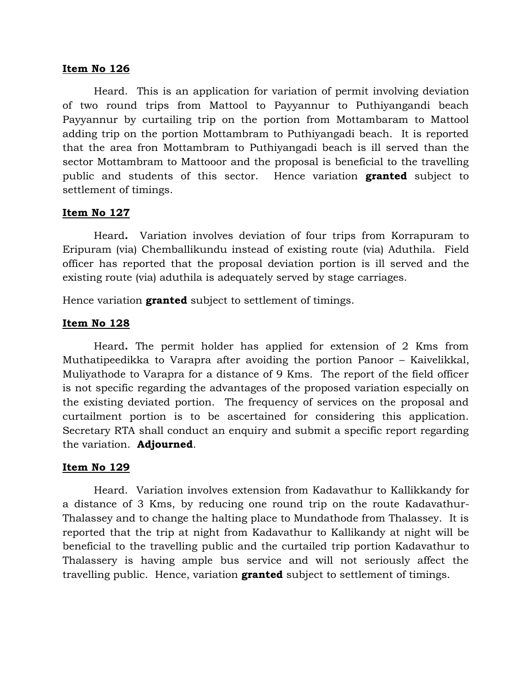Heard. This is an application for variation of permit involving deviation of two round trips from Mattool to Payyannur to Puthiyangandi beach Payyannur by curtailing trip on the portion from Mottambaram to Mattool adding trip on the portion Mottambram to Puthiyangadi beach. It is reported that the area fron Mottambram to Puthiyangadi beach is ill served than the sector Mottambram to Mattooor and the proposal is beneficial to the travelling public and students of this sector. Hence variation **granted** subject to settlement of timings.

#### **Item No 127**

Heard**.** Variation involves deviation of four trips from Korrapuram to Eripuram (via) Chemballikundu instead of existing route (via) Aduthila. Field officer has reported that the proposal deviation portion is ill served and the existing route (via) aduthila is adequately served by stage carriages.

Hence variation **granted** subject to settlement of timings.

#### **Item No 128**

Heard**.** The permit holder has applied for extension of 2 Kms from Muthatipeedikka to Varapra after avoiding the portion Panoor – Kaivelikkal, Muliyathode to Varapra for a distance of 9 Kms. The report of the field officer is not specific regarding the advantages of the proposed variation especially on the existing deviated portion. The frequency of services on the proposal and curtailment portion is to be ascertained for considering this application. Secretary RTA shall conduct an enquiry and submit a specific report regarding the variation. **Adjourned**.

#### **Item No 129**

Heard. Variation involves extension from Kadavathur to Kallikkandy for a distance of 3 Kms, by reducing one round trip on the route Kadavathur-Thalassey and to change the halting place to Mundathode from Thalassey. It is reported that the trip at night from Kadavathur to Kallikandy at night will be beneficial to the travelling public and the curtailed trip portion Kadavathur to Thalassery is having ample bus service and will not seriously affect the travelling public. Hence, variation **granted** subject to settlement of timings.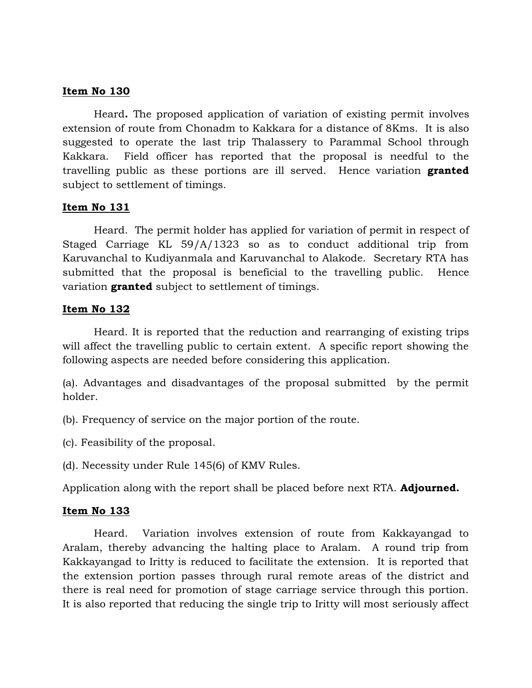Heard**.** The proposed application of variation of existing permit involves extension of route from Chonadm to Kakkara for a distance of 8Kms. It is also suggested to operate the last trip Thalassery to Parammal School through Kakkara. Field officer has reported that the proposal is needful to the travelling public as these portions are ill served. Hence variation **granted**  subject to settlement of timings.

#### **Item No 131**

Heard. The permit holder has applied for variation of permit in respect of Staged Carriage KL 59/A/1323 so as to conduct additional trip from Karuvanchal to Kudiyanmala and Karuvanchal to Alakode. Secretary RTA has submitted that the proposal is beneficial to the travelling public. Hence variation **granted** subject to settlement of timings.

#### **Item No 132**

Heard. It is reported that the reduction and rearranging of existing trips will affect the travelling public to certain extent. A specific report showing the following aspects are needed before considering this application.

(a). Advantages and disadvantages of the proposal submitted by the permit holder.

(b). Frequency of service on the major portion of the route.

(c). Feasibility of the proposal.

(d). Necessity under Rule 145(6) of KMV Rules.

Application along with the report shall be placed before next RTA. **Adjourned.**

#### **Item No 133**

Heard. Variation involves extension of route from Kakkayangad to Aralam, thereby advancing the halting place to Aralam. A round trip from Kakkayangad to Iritty is reduced to facilitate the extension. It is reported that the extension portion passes through rural remote areas of the district and there is real need for promotion of stage carriage service through this portion. It is also reported that reducing the single trip to Iritty will most seriously affect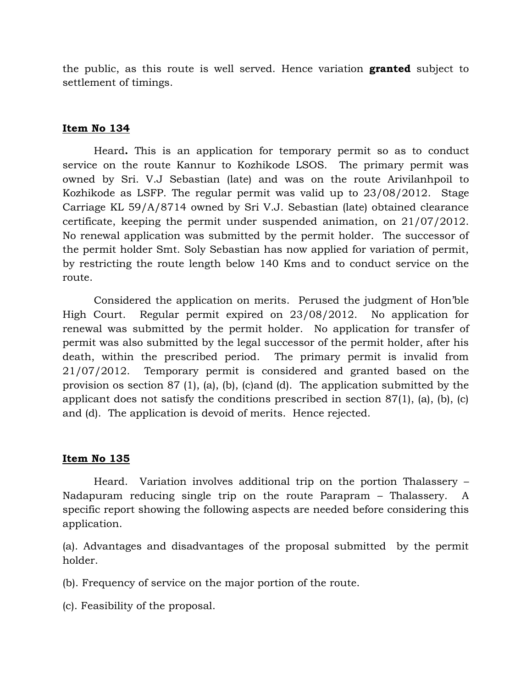the public, as this route is well served. Hence variation **granted** subject to settlement of timings.

#### **Item No 134**

Heard**.** This is an application for temporary permit so as to conduct service on the route Kannur to Kozhikode LSOS. The primary permit was owned by Sri. V.J Sebastian (late) and was on the route Arivilanhpoil to Kozhikode as LSFP. The regular permit was valid up to 23/08/2012. Stage Carriage KL 59/A/8714 owned by Sri V.J. Sebastian (late) obtained clearance certificate, keeping the permit under suspended animation, on 21/07/2012. No renewal application was submitted by the permit holder. The successor of the permit holder Smt. Soly Sebastian has now applied for variation of permit, by restricting the route length below 140 Kms and to conduct service on the route.

Considered the application on merits. Perused the judgment of Hon'ble High Court. Regular permit expired on 23/08/2012. No application for renewal was submitted by the permit holder. No application for transfer of permit was also submitted by the legal successor of the permit holder, after his death, within the prescribed period. The primary permit is invalid from 21/07/2012. Temporary permit is considered and granted based on the provision os section 87 (1), (a), (b), (c)and (d). The application submitted by the applicant does not satisfy the conditions prescribed in section 87(1), (a), (b), (c) and (d). The application is devoid of merits. Hence rejected.

#### **Item No 135**

Heard. Variation involves additional trip on the portion Thalassery – Nadapuram reducing single trip on the route Parapram – Thalassery. A specific report showing the following aspects are needed before considering this application.

(a). Advantages and disadvantages of the proposal submitted by the permit holder.

(b). Frequency of service on the major portion of the route.

(c). Feasibility of the proposal.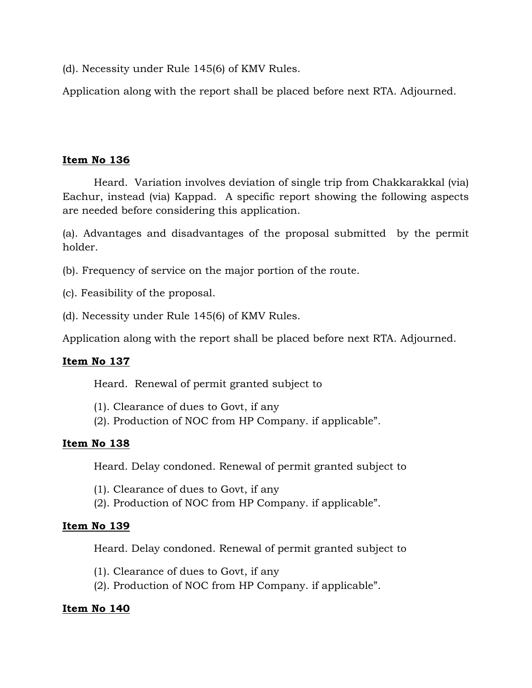(d). Necessity under Rule 145(6) of KMV Rules.

Application along with the report shall be placed before next RTA. Adjourned.

## **Item No 136**

Heard. Variation involves deviation of single trip from Chakkarakkal (via) Eachur, instead (via) Kappad. A specific report showing the following aspects are needed before considering this application.

(a). Advantages and disadvantages of the proposal submitted by the permit holder.

- (b). Frequency of service on the major portion of the route.
- (c). Feasibility of the proposal.
- (d). Necessity under Rule 145(6) of KMV Rules.

Application along with the report shall be placed before next RTA. Adjourned.

#### **Item No 137**

Heard. Renewal of permit granted subject to

- (1). Clearance of dues to Govt, if any
- (2). Production of NOC from HP Company. if applicable".

#### **Item No 138**

Heard. Delay condoned. Renewal of permit granted subject to

- (1). Clearance of dues to Govt, if any
- (2). Production of NOC from HP Company. if applicable".

#### **Item No 139**

Heard. Delay condoned. Renewal of permit granted subject to

- (1). Clearance of dues to Govt, if any
- (2). Production of NOC from HP Company. if applicable".

#### **Item No 140**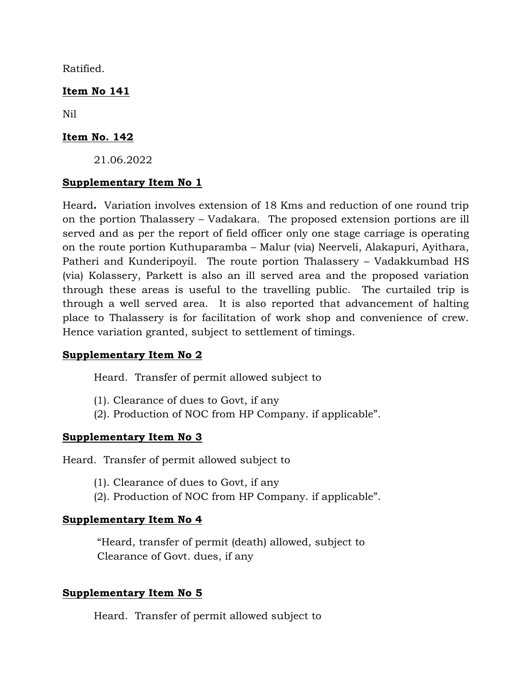Ratified.

## **Item No 141**

Nil

## **Item No. 142**

21.06.2022

## **Supplementary Item No 1**

Heard**.** Variation involves extension of 18 Kms and reduction of one round trip on the portion Thalassery – Vadakara. The proposed extension portions are ill served and as per the report of field officer only one stage carriage is operating on the route portion Kuthuparamba – Malur (via) Neerveli, Alakapuri, Ayithara, Patheri and Kunderipoyil. The route portion Thalassery – Vadakkumbad HS (via) Kolassery, Parkett is also an ill served area and the proposed variation through these areas is useful to the travelling public. The curtailed trip is through a well served area. It is also reported that advancement of halting place to Thalassery is for facilitation of work shop and convenience of crew. Hence variation granted, subject to settlement of timings.

## **Supplementary Item No 2**

Heard. Transfer of permit allowed subject to

- (1). Clearance of dues to Govt, if any
- (2). Production of NOC from HP Company. if applicable".

## **Supplementary Item No 3**

Heard. Transfer of permit allowed subject to

- (1). Clearance of dues to Govt, if any
- (2). Production of NOC from HP Company. if applicable".

## **Supplementary Item No 4**

"Heard, transfer of permit (death) allowed, subject to Clearance of Govt. dues, if any

## **Supplementary Item No 5**